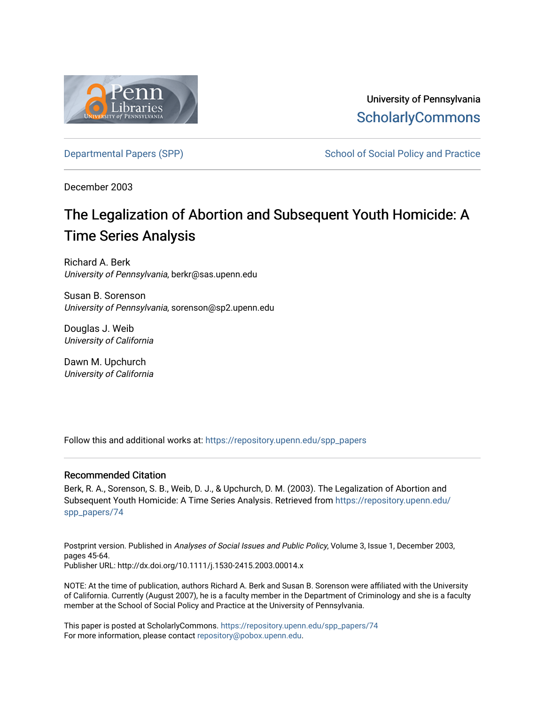

University of Pennsylvania **ScholarlyCommons** 

[Departmental Papers \(SPP\)](https://repository.upenn.edu/spp_papers) The School of Social Policy and Practice

December 2003

# The Legalization of Abortion and Subsequent Youth Homicide: A Time Series Analysis

Richard A. Berk University of Pennsylvania, berkr@sas.upenn.edu

Susan B. Sorenson University of Pennsylvania, sorenson@sp2.upenn.edu

Douglas J. Weib University of California

Dawn M. Upchurch University of California

Follow this and additional works at: [https://repository.upenn.edu/spp\\_papers](https://repository.upenn.edu/spp_papers?utm_source=repository.upenn.edu%2Fspp_papers%2F74&utm_medium=PDF&utm_campaign=PDFCoverPages) 

#### Recommended Citation

Berk, R. A., Sorenson, S. B., Weib, D. J., & Upchurch, D. M. (2003). The Legalization of Abortion and Subsequent Youth Homicide: A Time Series Analysis. Retrieved from [https://repository.upenn.edu/](https://repository.upenn.edu/spp_papers/74?utm_source=repository.upenn.edu%2Fspp_papers%2F74&utm_medium=PDF&utm_campaign=PDFCoverPages) [spp\\_papers/74](https://repository.upenn.edu/spp_papers/74?utm_source=repository.upenn.edu%2Fspp_papers%2F74&utm_medium=PDF&utm_campaign=PDFCoverPages) 

Postprint version. Published in Analyses of Social Issues and Public Policy, Volume 3, Issue 1, December 2003, pages 45-64. Publisher URL: http://dx.doi.org/10.1111/j.1530-2415.2003.00014.x

NOTE: At the time of publication, authors Richard A. Berk and Susan B. Sorenson were affiliated with the University of California. Currently (August 2007), he is a faculty member in the Department of Criminology and she is a faculty member at the School of Social Policy and Practice at the University of Pennsylvania.

This paper is posted at ScholarlyCommons. [https://repository.upenn.edu/spp\\_papers/74](https://repository.upenn.edu/spp_papers/74)  For more information, please contact [repository@pobox.upenn.edu.](mailto:repository@pobox.upenn.edu)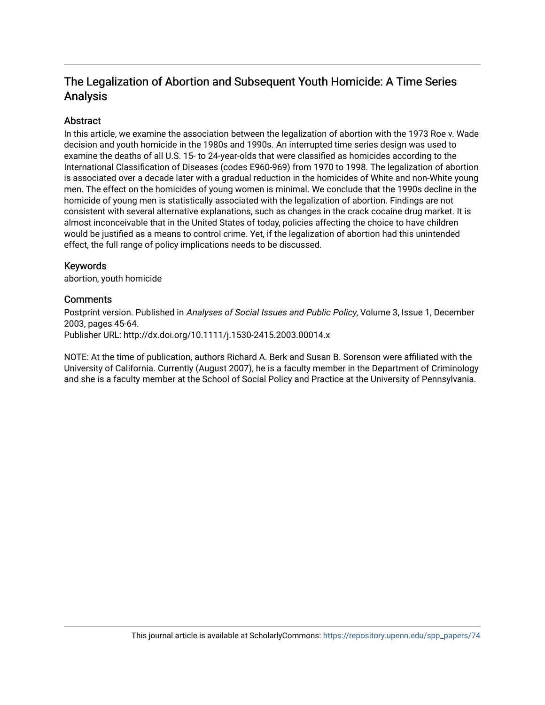## The Legalization of Abortion and Subsequent Youth Homicide: A Time Series Analysis

### **Abstract**

In this article, we examine the association between the legalization of abortion with the 1973 Roe v. Wade decision and youth homicide in the 1980s and 1990s. An interrupted time series design was used to examine the deaths of all U.S. 15- to 24-year-olds that were classified as homicides according to the International Classification of Diseases (codes E960-969) from 1970 to 1998. The legalization of abortion is associated over a decade later with a gradual reduction in the homicides of White and non-White young men. The effect on the homicides of young women is minimal. We conclude that the 1990s decline in the homicide of young men is statistically associated with the legalization of abortion. Findings are not consistent with several alternative explanations, such as changes in the crack cocaine drug market. It is almost inconceivable that in the United States of today, policies affecting the choice to have children would be justified as a means to control crime. Yet, if the legalization of abortion had this unintended effect, the full range of policy implications needs to be discussed.

#### Keywords

abortion, youth homicide

#### **Comments**

Postprint version. Published in Analyses of Social Issues and Public Policy, Volume 3, Issue 1, December 2003, pages 45-64. Publisher URL: http://dx.doi.org/10.1111/j.1530-2415.2003.00014.x

NOTE: At the time of publication, authors Richard A. Berk and Susan B. Sorenson were affiliated with the University of California. Currently (August 2007), he is a faculty member in the Department of Criminology and she is a faculty member at the School of Social Policy and Practice at the University of Pennsylvania.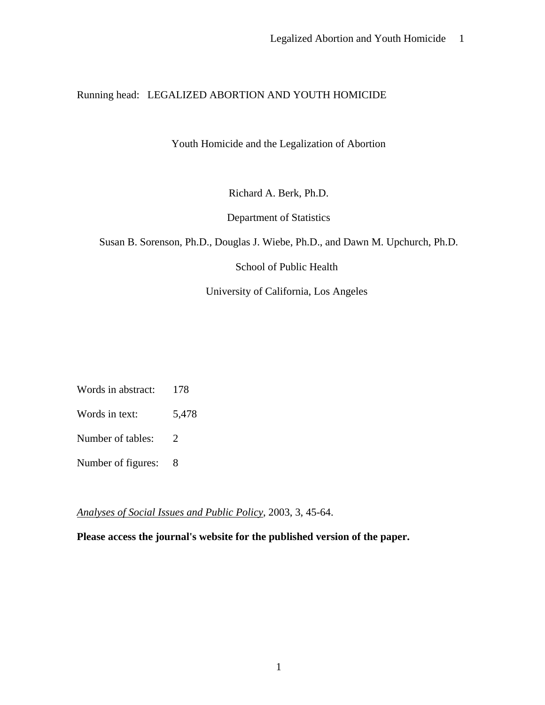## Running head: LEGALIZED ABORTION AND YOUTH HOMICIDE

Youth Homicide and the Legalization of Abortion

Richard A. Berk, Ph.D.

Department of Statistics

Susan B. Sorenson, Ph.D., Douglas J. Wiebe, Ph.D., and Dawn M. Upchurch, Ph.D.

School of Public Health

University of California, Los Angeles

Words in abstract: 178

Words in text: 5,478

Number of tables: 2

Number of figures: 8

*Analyses of Social Issues and Public Policy*, 2003, 3, 45-64.

**Please access the journal's website for the published version of the paper.**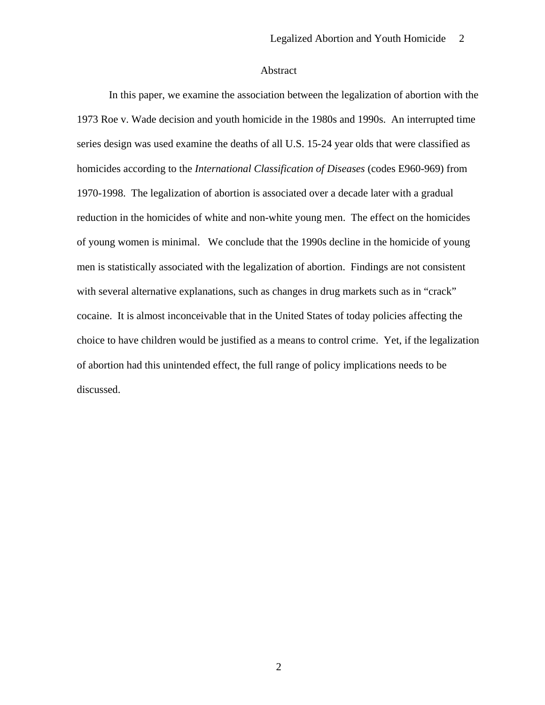#### Abstract

In this paper, we examine the association between the legalization of abortion with the 1973 Roe v. Wade decision and youth homicide in the 1980s and 1990s. An interrupted time series design was used examine the deaths of all U.S. 15-24 year olds that were classified as homicides according to the *International Classification of Diseases* (codes E960-969) from 1970-1998. The legalization of abortion is associated over a decade later with a gradual reduction in the homicides of white and non-white young men. The effect on the homicides of young women is minimal. We conclude that the 1990s decline in the homicide of young men is statistically associated with the legalization of abortion. Findings are not consistent with several alternative explanations, such as changes in drug markets such as in "crack" cocaine. It is almost inconceivable that in the United States of today policies affecting the choice to have children would be justified as a means to control crime. Yet, if the legalization of abortion had this unintended effect, the full range of policy implications needs to be discussed.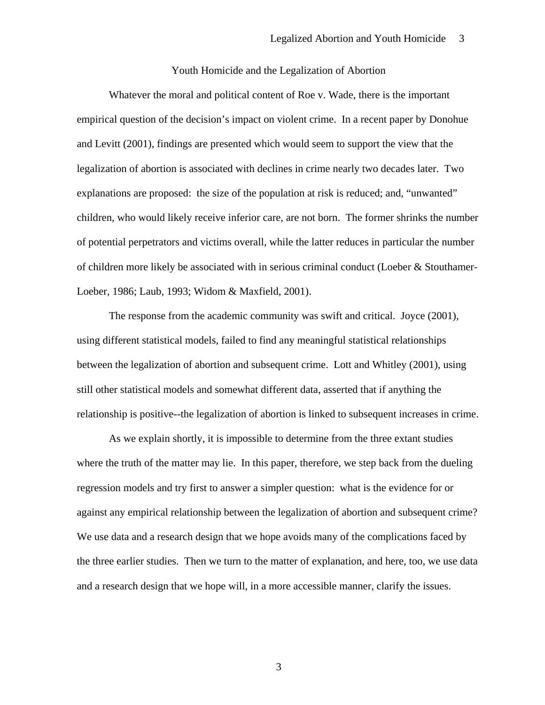#### Youth Homicide and the Legalization of Abortion

Whatever the moral and political content of Roe v. Wade, there is the important empirical question of the decision's impact on violent crime. In a recent paper by Donohue and Levitt (2001), findings are presented which would seem to support the view that the legalization of abortion is associated with declines in crime nearly two decades later. Two explanations are proposed: the size of the population at risk is reduced; and, "unwanted" children, who would likely receive inferior care, are not born. The former shrinks the number of potential perpetrators and victims overall, while the latter reduces in particular the number of children more likely be associated with in serious criminal conduct (Loeber & Stouthamer-Loeber, 1986; Laub, 1993; Widom & Maxfield, 2001).

 The response from the academic community was swift and critical. Joyce (2001), using different statistical models, failed to find any meaningful statistical relationships between the legalization of abortion and subsequent crime. Lott and Whitley (2001), using still other statistical models and somewhat different data, asserted that if anything the relationship is positive--the legalization of abortion is linked to subsequent increases in crime.

 As we explain shortly, it is impossible to determine from the three extant studies where the truth of the matter may lie. In this paper, therefore, we step back from the dueling regression models and try first to answer a simpler question: what is the evidence for or against any empirical relationship between the legalization of abortion and subsequent crime? We use data and a research design that we hope avoids many of the complications faced by the three earlier studies. Then we turn to the matter of explanation, and here, too, we use data and a research design that we hope will, in a more accessible manner, clarify the issues.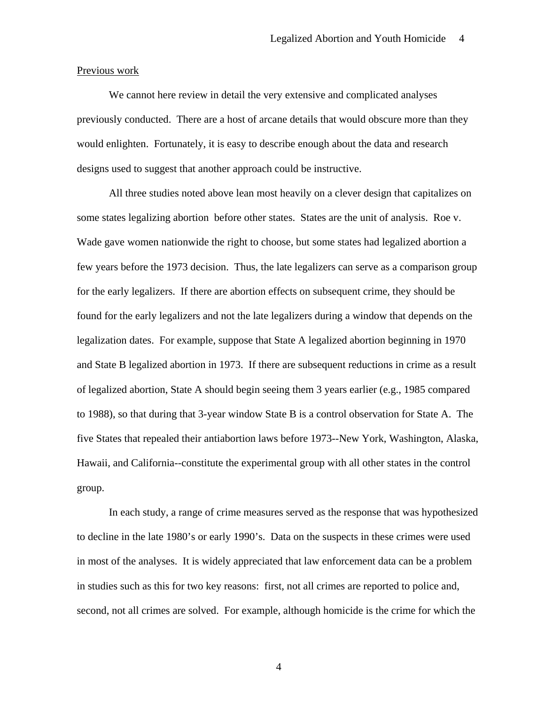#### Previous work

We cannot here review in detail the very extensive and complicated analyses previously conducted. There are a host of arcane details that would obscure more than they would enlighten. Fortunately, it is easy to describe enough about the data and research designs used to suggest that another approach could be instructive.

All three studies noted above lean most heavily on a clever design that capitalizes on some states legalizing abortion before other states. States are the unit of analysis. Roe v. Wade gave women nationwide the right to choose, but some states had legalized abortion a few years before the 1973 decision. Thus, the late legalizers can serve as a comparison group for the early legalizers. If there are abortion effects on subsequent crime, they should be found for the early legalizers and not the late legalizers during a window that depends on the legalization dates. For example, suppose that State A legalized abortion beginning in 1970 and State B legalized abortion in 1973. If there are subsequent reductions in crime as a result of legalized abortion, State A should begin seeing them 3 years earlier (e.g., 1985 compared to 1988), so that during that 3-year window State B is a control observation for State A. The five States that repealed their antiabortion laws before 1973--New York, Washington, Alaska, Hawaii, and California--constitute the experimental group with all other states in the control group.

 In each study, a range of crime measures served as the response that was hypothesized to decline in the late 1980's or early 1990's. Data on the suspects in these crimes were used in most of the analyses. It is widely appreciated that law enforcement data can be a problem in studies such as this for two key reasons: first, not all crimes are reported to police and, second, not all crimes are solved. For example, although homicide is the crime for which the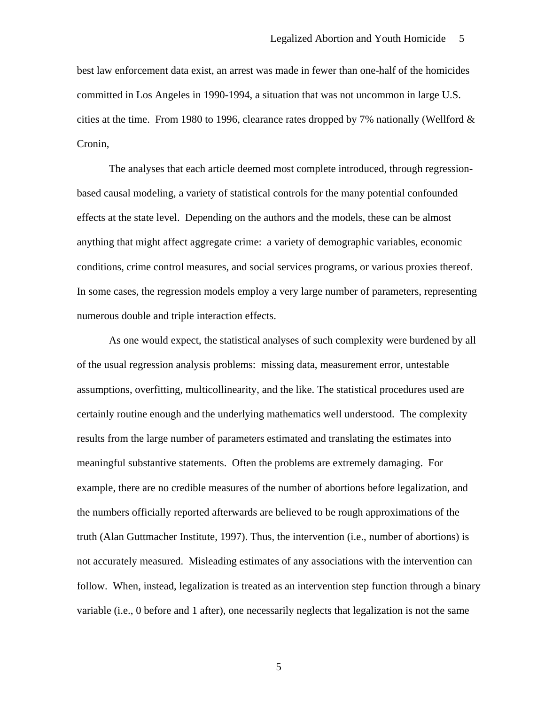best law enforcement data exist, an arrest was made in fewer than one-half of the homicides committed in Los Angeles in 1990-1994, a situation that was not uncommon in large U.S. cities at the time. From 1980 to 1996, clearance rates dropped by 7% nationally (Wellford & Cronin,

The analyses that each article deemed most complete introduced, through regressionbased causal modeling, a variety of statistical controls for the many potential confounded effects at the state level. Depending on the authors and the models, these can be almost anything that might affect aggregate crime: a variety of demographic variables, economic conditions, crime control measures, and social services programs, or various proxies thereof. In some cases, the regression models employ a very large number of parameters, representing numerous double and triple interaction effects.

 As one would expect, the statistical analyses of such complexity were burdened by all of the usual regression analysis problems: missing data, measurement error, untestable assumptions, overfitting, multicollinearity, and the like. The statistical procedures used are certainly routine enough and the underlying mathematics well understood. The complexity results from the large number of parameters estimated and translating the estimates into meaningful substantive statements. Often the problems are extremely damaging. For example, there are no credible measures of the number of abortions before legalization, and the numbers officially reported afterwards are believed to be rough approximations of the truth (Alan Guttmacher Institute, 1997). Thus, the intervention (i.e., number of abortions) is not accurately measured. Misleading estimates of any associations with the intervention can follow. When, instead, legalization is treated as an intervention step function through a binary variable (i.e., 0 before and 1 after), one necessarily neglects that legalization is not the same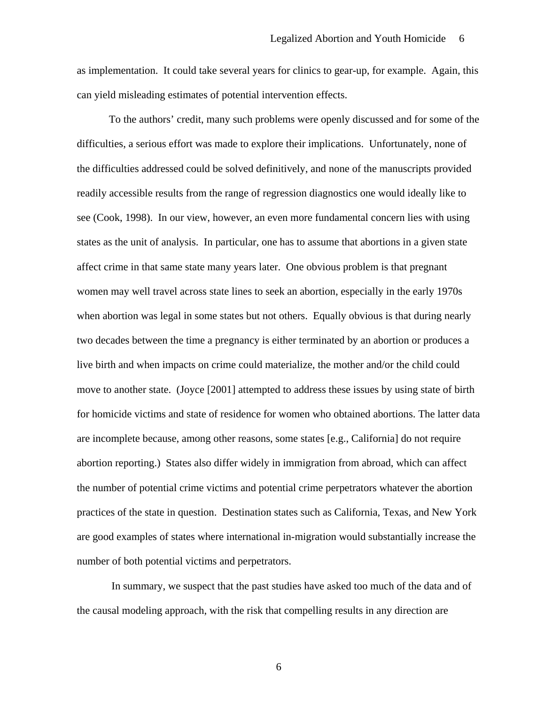as implementation. It could take several years for clinics to gear-up, for example. Again, this can yield misleading estimates of potential intervention effects.

 To the authors' credit, many such problems were openly discussed and for some of the difficulties, a serious effort was made to explore their implications. Unfortunately, none of the difficulties addressed could be solved definitively, and none of the manuscripts provided readily accessible results from the range of regression diagnostics one would ideally like to see (Cook, 1998). In our view, however, an even more fundamental concern lies with using states as the unit of analysis. In particular, one has to assume that abortions in a given state affect crime in that same state many years later. One obvious problem is that pregnant women may well travel across state lines to seek an abortion, especially in the early 1970s when abortion was legal in some states but not others. Equally obvious is that during nearly two decades between the time a pregnancy is either terminated by an abortion or produces a live birth and when impacts on crime could materialize, the mother and/or the child could move to another state. (Joyce [2001] attempted to address these issues by using state of birth for homicide victims and state of residence for women who obtained abortions. The latter data are incomplete because, among other reasons, some states [e.g., California] do not require abortion reporting.) States also differ widely in immigration from abroad, which can affect the number of potential crime victims and potential crime perpetrators whatever the abortion practices of the state in question. Destination states such as California, Texas, and New York are good examples of states where international in-migration would substantially increase the number of both potential victims and perpetrators.

 In summary, we suspect that the past studies have asked too much of the data and of the causal modeling approach, with the risk that compelling results in any direction are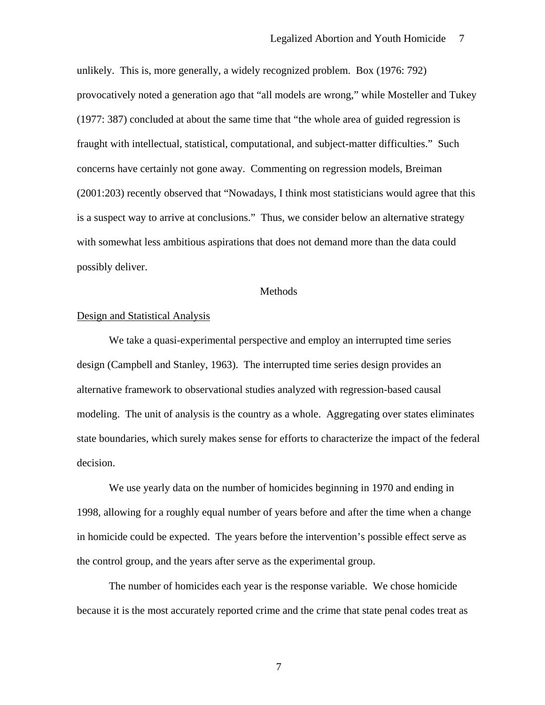unlikely. This is, more generally, a widely recognized problem. Box (1976: 792) provocatively noted a generation ago that "all models are wrong," while Mosteller and Tukey (1977: 387) concluded at about the same time that "the whole area of guided regression is fraught with intellectual, statistical, computational, and subject-matter difficulties." Such concerns have certainly not gone away. Commenting on regression models, Breiman (2001:203) recently observed that "Nowadays, I think most statisticians would agree that this is a suspect way to arrive at conclusions." Thus, we consider below an alternative strategy with somewhat less ambitious aspirations that does not demand more than the data could possibly deliver.

#### Methods

#### Design and Statistical Analysis

We take a quasi-experimental perspective and employ an interrupted time series design (Campbell and Stanley, 1963). The interrupted time series design provides an alternative framework to observational studies analyzed with regression-based causal modeling. The unit of analysis is the country as a whole. Aggregating over states eliminates state boundaries, which surely makes sense for efforts to characterize the impact of the federal decision.

We use yearly data on the number of homicides beginning in 1970 and ending in 1998, allowing for a roughly equal number of years before and after the time when a change in homicide could be expected. The years before the intervention's possible effect serve as the control group, and the years after serve as the experimental group.

 The number of homicides each year is the response variable. We chose homicide because it is the most accurately reported crime and the crime that state penal codes treat as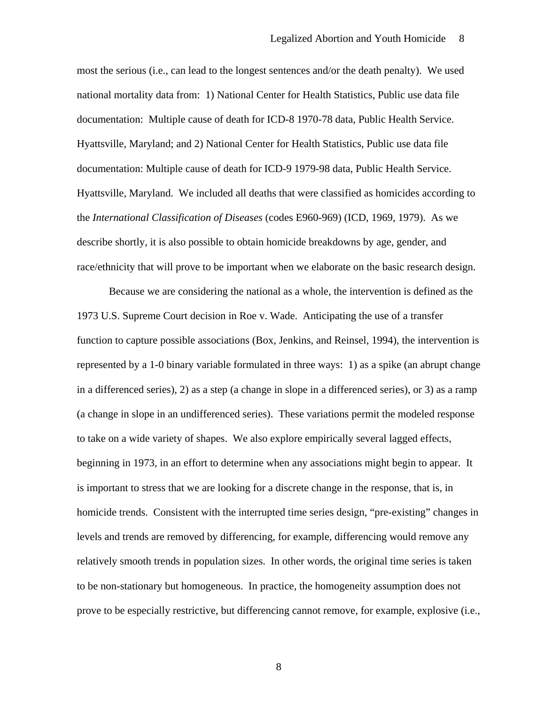most the serious (i.e., can lead to the longest sentences and/or the death penalty). We used national mortality data from: 1) National Center for Health Statistics, Public use data file documentation: Multiple cause of death for ICD-8 1970-78 data, Public Health Service. Hyattsville, Maryland; and 2) National Center for Health Statistics, Public use data file documentation: Multiple cause of death for ICD-9 1979-98 data, Public Health Service. Hyattsville, Maryland. We included all deaths that were classified as homicides according to the *International Classification of Diseases* (codes E960-969) (ICD, 1969, 1979). As we describe shortly, it is also possible to obtain homicide breakdowns by age, gender, and race/ethnicity that will prove to be important when we elaborate on the basic research design.

 Because we are considering the national as a whole, the intervention is defined as the 1973 U.S. Supreme Court decision in Roe v. Wade. Anticipating the use of a transfer function to capture possible associations (Box, Jenkins, and Reinsel, 1994), the intervention is represented by a 1-0 binary variable formulated in three ways: 1) as a spike (an abrupt change in a differenced series), 2) as a step (a change in slope in a differenced series), or 3) as a ramp (a change in slope in an undifferenced series). These variations permit the modeled response to take on a wide variety of shapes. We also explore empirically several lagged effects, beginning in 1973, in an effort to determine when any associations might begin to appear. It is important to stress that we are looking for a discrete change in the response, that is, in homicide trends. Consistent with the interrupted time series design, "pre-existing" changes in levels and trends are removed by differencing, for example, differencing would remove any relatively smooth trends in population sizes. In other words, the original time series is taken to be non-stationary but homogeneous. In practice, the homogeneity assumption does not prove to be especially restrictive, but differencing cannot remove, for example, explosive (i.e.,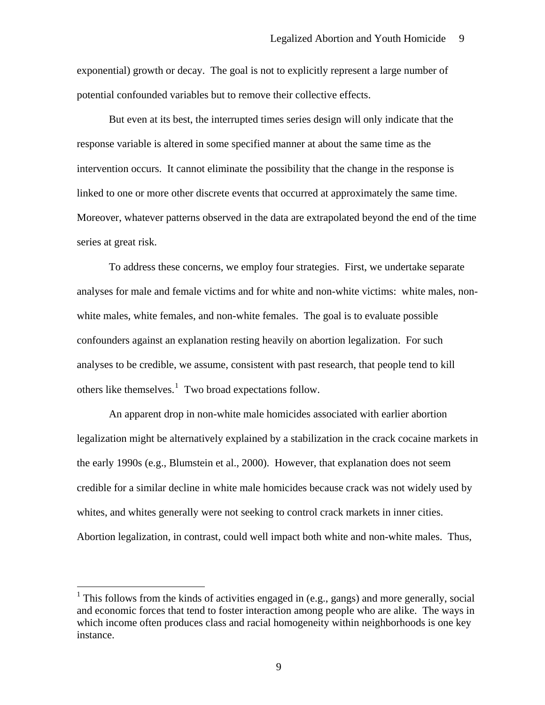<span id="page-10-0"></span>exponential) growth or decay. The goal is not to explicitly represent a large number of potential confounded variables but to remove their collective effects.

 But even at its best, the interrupted times series design will only indicate that the response variable is altered in some specified manner at about the same time as the intervention occurs. It cannot eliminate the possibility that the change in the response is linked to one or more other discrete events that occurred at approximately the same time. Moreover, whatever patterns observed in the data are extrapolated beyond the end of the time series at great risk.

 To address these concerns, we employ four strategies. First, we undertake separate analyses for male and female victims and for white and non-white victims: white males, nonwhite males, white females, and non-white females. The goal is to evaluate possible confounders against an explanation resting heavily on abortion legalization. For such analyses to be credible, we assume, consistent with past research, that people tend to kill others like themselves. $<sup>1</sup>$  $<sup>1</sup>$  $<sup>1</sup>$  Two broad expectations follow.</sup>

 An apparent drop in non-white male homicides associated with earlier abortion legalization might be alternatively explained by a stabilization in the crack cocaine markets in the early 1990s (e.g., Blumstein et al., 2000). However, that explanation does not seem credible for a similar decline in white male homicides because crack was not widely used by whites, and whites generally were not seeking to control crack markets in inner cities. Abortion legalization, in contrast, could well impact both white and non-white males. Thus,

 $\overline{a}$ 

<sup>&</sup>lt;sup>1</sup> This follows from the kinds of activities engaged in (e.g., gangs) and more generally, social and economic forces that tend to foster interaction among people who are alike. The ways in which income often produces class and racial homogeneity within neighborhoods is one key instance.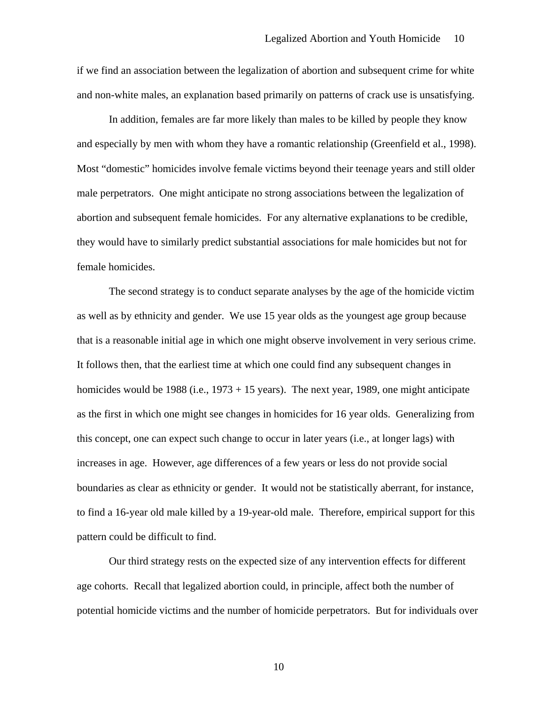if we find an association between the legalization of abortion and subsequent crime for white and non-white males, an explanation based primarily on patterns of crack use is unsatisfying.

 In addition, females are far more likely than males to be killed by people they know and especially by men with whom they have a romantic relationship (Greenfield et al., 1998). Most "domestic" homicides involve female victims beyond their teenage years and still older male perpetrators. One might anticipate no strong associations between the legalization of abortion and subsequent female homicides. For any alternative explanations to be credible, they would have to similarly predict substantial associations for male homicides but not for female homicides.

 The second strategy is to conduct separate analyses by the age of the homicide victim as well as by ethnicity and gender. We use 15 year olds as the youngest age group because that is a reasonable initial age in which one might observe involvement in very serious crime. It follows then, that the earliest time at which one could find any subsequent changes in homicides would be 1988 (i.e., 1973 + 15 years). The next year, 1989, one might anticipate as the first in which one might see changes in homicides for 16 year olds. Generalizing from this concept, one can expect such change to occur in later years (i.e., at longer lags) with increases in age. However, age differences of a few years or less do not provide social boundaries as clear as ethnicity or gender. It would not be statistically aberrant, for instance, to find a 16-year old male killed by a 19-year-old male. Therefore, empirical support for this pattern could be difficult to find.

 Our third strategy rests on the expected size of any intervention effects for different age cohorts. Recall that legalized abortion could, in principle, affect both the number of potential homicide victims and the number of homicide perpetrators. But for individuals over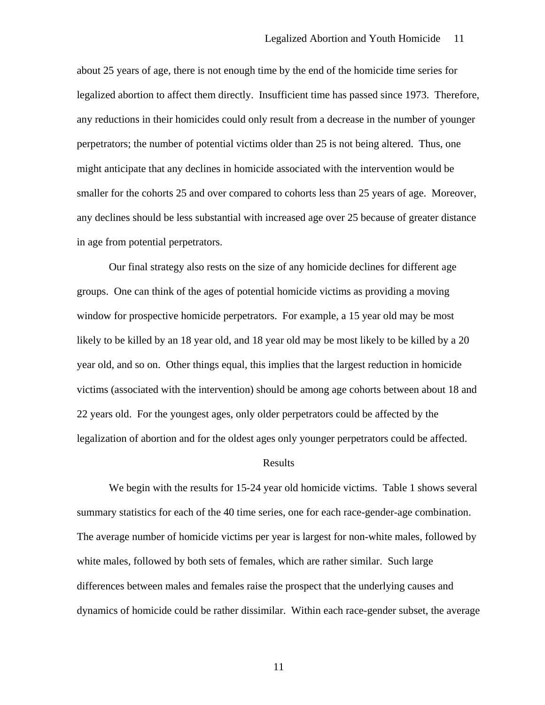about 25 years of age, there is not enough time by the end of the homicide time series for legalized abortion to affect them directly. Insufficient time has passed since 1973. Therefore, any reductions in their homicides could only result from a decrease in the number of younger perpetrators; the number of potential victims older than 25 is not being altered. Thus, one might anticipate that any declines in homicide associated with the intervention would be smaller for the cohorts 25 and over compared to cohorts less than 25 years of age. Moreover, any declines should be less substantial with increased age over 25 because of greater distance in age from potential perpetrators.

 Our final strategy also rests on the size of any homicide declines for different age groups. One can think of the ages of potential homicide victims as providing a moving window for prospective homicide perpetrators. For example, a 15 year old may be most likely to be killed by an 18 year old, and 18 year old may be most likely to be killed by a 20 year old, and so on. Other things equal, this implies that the largest reduction in homicide victims (associated with the intervention) should be among age cohorts between about 18 and 22 years old. For the youngest ages, only older perpetrators could be affected by the legalization of abortion and for the oldest ages only younger perpetrators could be affected.

#### Results

 We begin with the results for 15-24 year old homicide victims. Table 1 shows several summary statistics for each of the 40 time series, one for each race-gender-age combination. The average number of homicide victims per year is largest for non-white males, followed by white males, followed by both sets of females, which are rather similar. Such large differences between males and females raise the prospect that the underlying causes and dynamics of homicide could be rather dissimilar. Within each race-gender subset, the average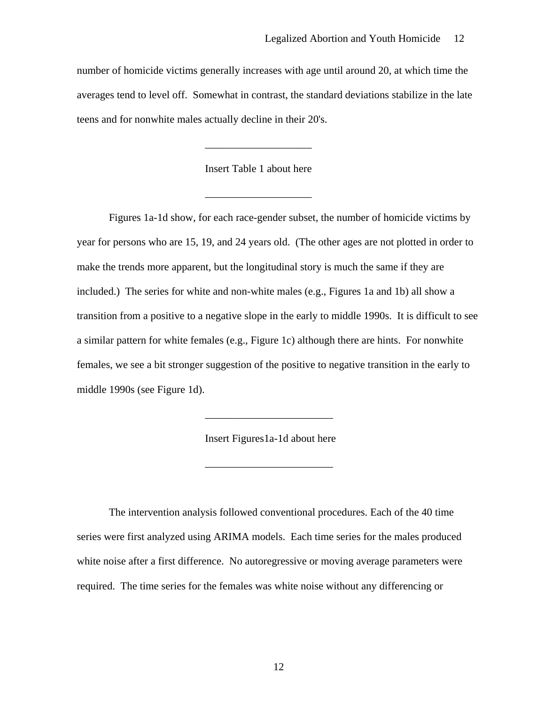number of homicide victims generally increases with age until around 20, at which time the averages tend to level off. Somewhat in contrast, the standard deviations stabilize in the late teens and for nonwhite males actually decline in their 20's.

Insert Table 1 about here

 $\overline{\phantom{a}}$  ,  $\overline{\phantom{a}}$  ,  $\overline{\phantom{a}}$  ,  $\overline{\phantom{a}}$  ,  $\overline{\phantom{a}}$  ,  $\overline{\phantom{a}}$  ,  $\overline{\phantom{a}}$  ,  $\overline{\phantom{a}}$  ,  $\overline{\phantom{a}}$  ,  $\overline{\phantom{a}}$  ,  $\overline{\phantom{a}}$  ,  $\overline{\phantom{a}}$  ,  $\overline{\phantom{a}}$  ,  $\overline{\phantom{a}}$  ,  $\overline{\phantom{a}}$  ,  $\overline{\phantom{a}}$ 

 $\overline{\phantom{a}}$  ,  $\overline{\phantom{a}}$  ,  $\overline{\phantom{a}}$  ,  $\overline{\phantom{a}}$  ,  $\overline{\phantom{a}}$  ,  $\overline{\phantom{a}}$  ,  $\overline{\phantom{a}}$  ,  $\overline{\phantom{a}}$  ,  $\overline{\phantom{a}}$  ,  $\overline{\phantom{a}}$  ,  $\overline{\phantom{a}}$  ,  $\overline{\phantom{a}}$  ,  $\overline{\phantom{a}}$  ,  $\overline{\phantom{a}}$  ,  $\overline{\phantom{a}}$  ,  $\overline{\phantom{a}}$ 

 $\frac{1}{2}$  , and the set of the set of the set of the set of the set of the set of the set of the set of the set of the set of the set of the set of the set of the set of the set of the set of the set of the set of the set

 $\frac{1}{2}$  , and the set of the set of the set of the set of the set of the set of the set of the set of the set of the set of the set of the set of the set of the set of the set of the set of the set of the set of the set

 Figures 1a-1d show, for each race-gender subset, the number of homicide victims by year for persons who are 15, 19, and 24 years old. (The other ages are not plotted in order to make the trends more apparent, but the longitudinal story is much the same if they are included.) The series for white and non-white males (e.g., Figures 1a and 1b) all show a transition from a positive to a negative slope in the early to middle 1990s. It is difficult to see a similar pattern for white females (e.g., Figure 1c) although there are hints. For nonwhite females, we see a bit stronger suggestion of the positive to negative transition in the early to middle 1990s (see Figure 1d).

Insert Figures1a-1d about here

The intervention analysis followed conventional procedures. Each of the 40 time series were first analyzed using ARIMA models. Each time series for the males produced white noise after a first difference. No autoregressive or moving average parameters were required. The time series for the females was white noise without any differencing or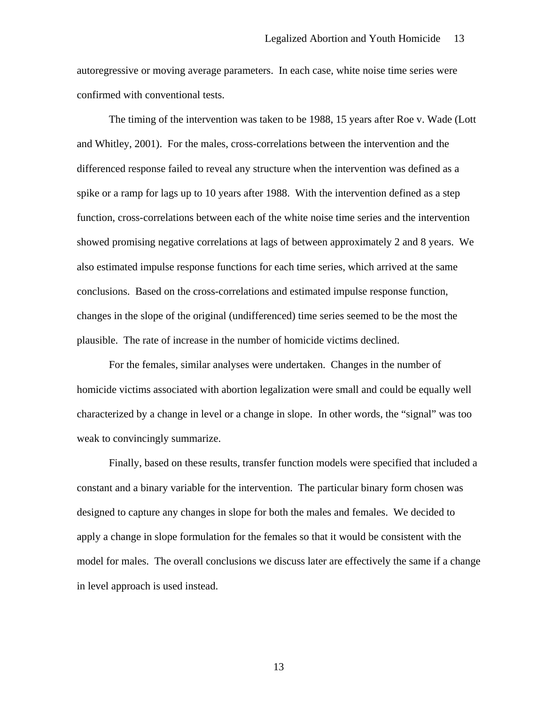autoregressive or moving average parameters. In each case, white noise time series were confirmed with conventional tests.

The timing of the intervention was taken to be 1988, 15 years after Roe v. Wade (Lott and Whitley, 2001). For the males, cross-correlations between the intervention and the differenced response failed to reveal any structure when the intervention was defined as a spike or a ramp for lags up to 10 years after 1988. With the intervention defined as a step function, cross-correlations between each of the white noise time series and the intervention showed promising negative correlations at lags of between approximately 2 and 8 years. We also estimated impulse response functions for each time series, which arrived at the same conclusions. Based on the cross-correlations and estimated impulse response function, changes in the slope of the original (undifferenced) time series seemed to be the most the plausible. The rate of increase in the number of homicide victims declined.

For the females, similar analyses were undertaken. Changes in the number of homicide victims associated with abortion legalization were small and could be equally well characterized by a change in level or a change in slope. In other words, the "signal" was too weak to convincingly summarize.

Finally, based on these results, transfer function models were specified that included a constant and a binary variable for the intervention. The particular binary form chosen was designed to capture any changes in slope for both the males and females. We decided to apply a change in slope formulation for the females so that it would be consistent with the model for males. The overall conclusions we discuss later are effectively the same if a change in level approach is used instead.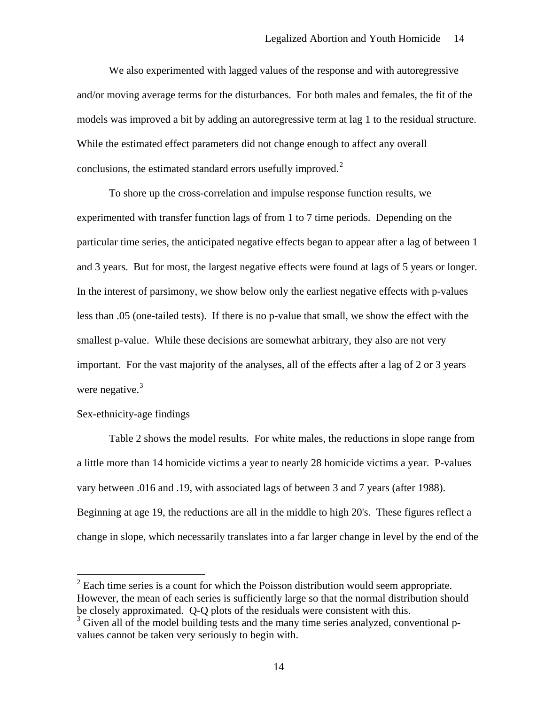<span id="page-15-0"></span>We also experimented with lagged values of the response and with autoregressive and/or moving average terms for the disturbances. For both males and females, the fit of the models was improved a bit by adding an autoregressive term at lag 1 to the residual structure. While the estimated effect parameters did not change enough to affect any overall conclusions, the estimated standard errors usefully improved. $2^2$  $2^2$ 

To shore up the cross-correlation and impulse response function results, we experimented with transfer function lags of from 1 to 7 time periods. Depending on the particular time series, the anticipated negative effects began to appear after a lag of between 1 and 3 years. But for most, the largest negative effects were found at lags of 5 years or longer. In the interest of parsimony, we show below only the earliest negative effects with p-values less than .05 (one-tailed tests). If there is no p-value that small, we show the effect with the smallest p-value. While these decisions are somewhat arbitrary, they also are not very important. For the vast majority of the analyses, all of the effects after a lag of 2 or 3 years were negative.<sup>[3](#page-15-0)</sup>

#### Sex-ethnicity-age findings

 $\overline{a}$ 

Table 2 shows the model results. For white males, the reductions in slope range from a little more than 14 homicide victims a year to nearly 28 homicide victims a year. P-values vary between .016 and .19, with associated lags of between 3 and 7 years (after 1988). Beginning at age 19, the reductions are all in the middle to high 20's. These figures reflect a change in slope, which necessarily translates into a far larger change in level by the end of the

 $2^{2}$  Each time series is a count for which the Poisson distribution would seem appropriate. However, the mean of each series is sufficiently large so that the normal distribution should be closely approximated. Q-Q plots of the residuals were consistent with this.

<sup>&</sup>lt;sup>3</sup> Given all of the model building tests and the many time series analyzed, conventional pvalues cannot be taken very seriously to begin with.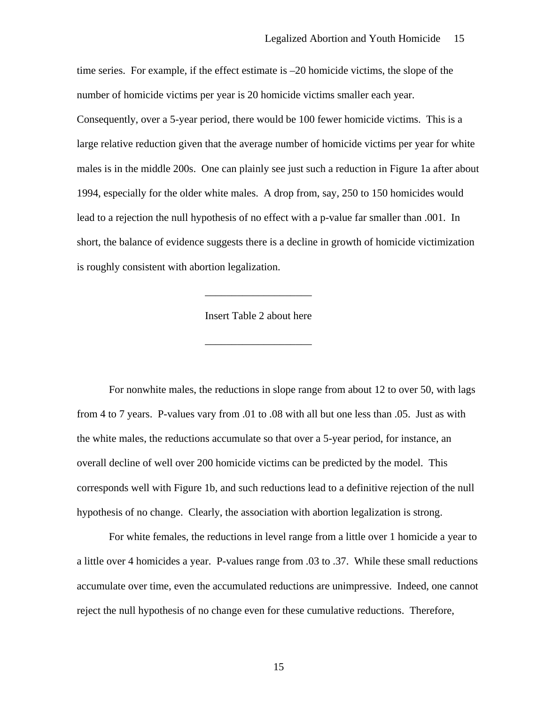time series. For example, if the effect estimate is –20 homicide victims, the slope of the number of homicide victims per year is 20 homicide victims smaller each year. Consequently, over a 5-year period, there would be 100 fewer homicide victims. This is a large relative reduction given that the average number of homicide victims per year for white males is in the middle 200s. One can plainly see just such a reduction in Figure 1a after about 1994, especially for the older white males. A drop from, say, 250 to 150 homicides would lead to a rejection the null hypothesis of no effect with a p-value far smaller than .001. In short, the balance of evidence suggests there is a decline in growth of homicide victimization is roughly consistent with abortion legalization.

#### Insert Table 2 about here

 $\overline{\phantom{a}}$  ,  $\overline{\phantom{a}}$  ,  $\overline{\phantom{a}}$  ,  $\overline{\phantom{a}}$  ,  $\overline{\phantom{a}}$  ,  $\overline{\phantom{a}}$  ,  $\overline{\phantom{a}}$  ,  $\overline{\phantom{a}}$  ,  $\overline{\phantom{a}}$  ,  $\overline{\phantom{a}}$  ,  $\overline{\phantom{a}}$  ,  $\overline{\phantom{a}}$  ,  $\overline{\phantom{a}}$  ,  $\overline{\phantom{a}}$  ,  $\overline{\phantom{a}}$  ,  $\overline{\phantom{a}}$ 

 $\overline{\phantom{a}}$  ,  $\overline{\phantom{a}}$  ,  $\overline{\phantom{a}}$  ,  $\overline{\phantom{a}}$  ,  $\overline{\phantom{a}}$  ,  $\overline{\phantom{a}}$  ,  $\overline{\phantom{a}}$  ,  $\overline{\phantom{a}}$  ,  $\overline{\phantom{a}}$  ,  $\overline{\phantom{a}}$  ,  $\overline{\phantom{a}}$  ,  $\overline{\phantom{a}}$  ,  $\overline{\phantom{a}}$  ,  $\overline{\phantom{a}}$  ,  $\overline{\phantom{a}}$  ,  $\overline{\phantom{a}}$ 

For nonwhite males, the reductions in slope range from about 12 to over 50, with lags from 4 to 7 years. P-values vary from .01 to .08 with all but one less than .05. Just as with the white males, the reductions accumulate so that over a 5-year period, for instance, an overall decline of well over 200 homicide victims can be predicted by the model. This corresponds well with Figure 1b, and such reductions lead to a definitive rejection of the null hypothesis of no change. Clearly, the association with abortion legalization is strong.

 For white females, the reductions in level range from a little over 1 homicide a year to a little over 4 homicides a year. P-values range from .03 to .37. While these small reductions accumulate over time, even the accumulated reductions are unimpressive. Indeed, one cannot reject the null hypothesis of no change even for these cumulative reductions. Therefore,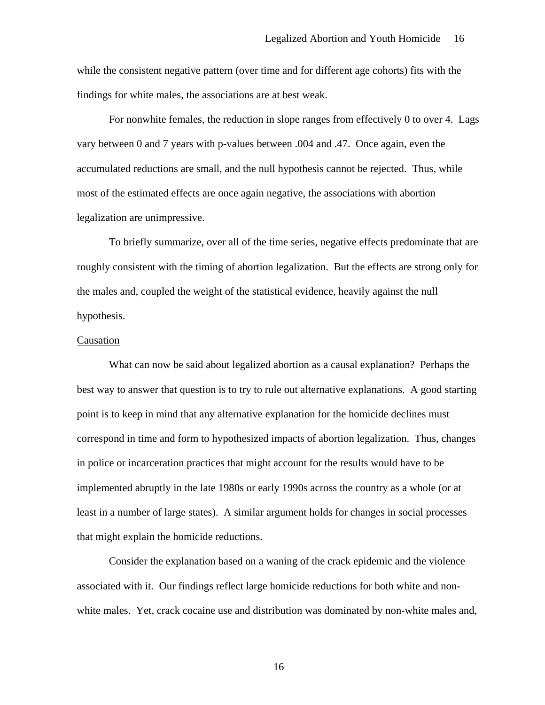while the consistent negative pattern (over time and for different age cohorts) fits with the findings for white males, the associations are at best weak.

For nonwhite females, the reduction in slope ranges from effectively 0 to over 4. Lags vary between 0 and 7 years with p-values between .004 and .47. Once again, even the accumulated reductions are small, and the null hypothesis cannot be rejected. Thus, while most of the estimated effects are once again negative, the associations with abortion legalization are unimpressive.

 To briefly summarize, over all of the time series, negative effects predominate that are roughly consistent with the timing of abortion legalization. But the effects are strong only for the males and, coupled the weight of the statistical evidence, heavily against the null hypothesis.

#### Causation

What can now be said about legalized abortion as a causal explanation? Perhaps the best way to answer that question is to try to rule out alternative explanations. A good starting point is to keep in mind that any alternative explanation for the homicide declines must correspond in time and form to hypothesized impacts of abortion legalization. Thus, changes in police or incarceration practices that might account for the results would have to be implemented abruptly in the late 1980s or early 1990s across the country as a whole (or at least in a number of large states). A similar argument holds for changes in social processes that might explain the homicide reductions.

Consider the explanation based on a waning of the crack epidemic and the violence associated with it. Our findings reflect large homicide reductions for both white and nonwhite males. Yet, crack cocaine use and distribution was dominated by non-white males and,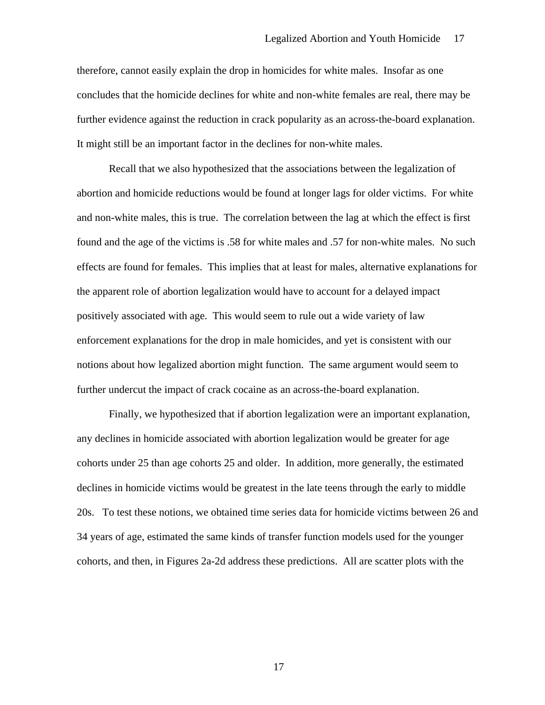therefore, cannot easily explain the drop in homicides for white males. Insofar as one concludes that the homicide declines for white and non-white females are real, there may be further evidence against the reduction in crack popularity as an across-the-board explanation. It might still be an important factor in the declines for non-white males.

 Recall that we also hypothesized that the associations between the legalization of abortion and homicide reductions would be found at longer lags for older victims. For white and non-white males, this is true. The correlation between the lag at which the effect is first found and the age of the victims is .58 for white males and .57 for non-white males. No such effects are found for females. This implies that at least for males, alternative explanations for the apparent role of abortion legalization would have to account for a delayed impact positively associated with age. This would seem to rule out a wide variety of law enforcement explanations for the drop in male homicides, and yet is consistent with our notions about how legalized abortion might function. The same argument would seem to further undercut the impact of crack cocaine as an across-the-board explanation.

 Finally, we hypothesized that if abortion legalization were an important explanation, any declines in homicide associated with abortion legalization would be greater for age cohorts under 25 than age cohorts 25 and older. In addition, more generally, the estimated declines in homicide victims would be greatest in the late teens through the early to middle 20s. To test these notions, we obtained time series data for homicide victims between 26 and 34 years of age, estimated the same kinds of transfer function models used for the younger cohorts, and then, in Figures 2a-2d address these predictions. All are scatter plots with the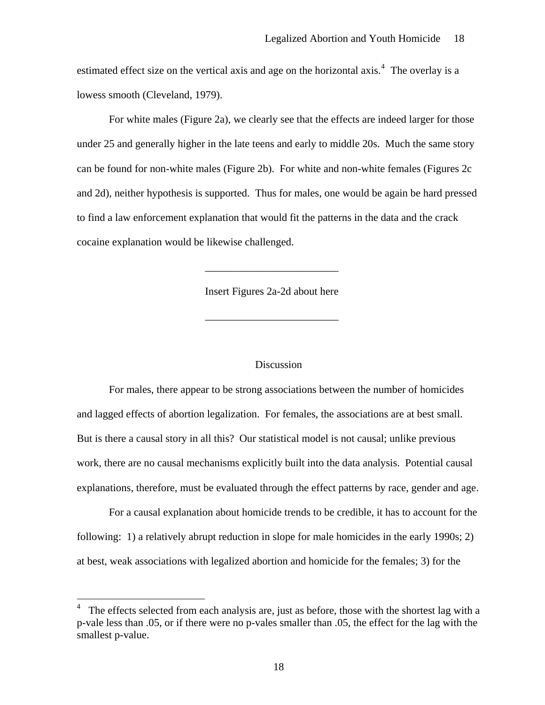<span id="page-19-0"></span>estimated effect size on the vertical axis and age on the horizontal axis.<sup>[4](#page-19-0)</sup> The overlay is a lowess smooth (Cleveland, 1979).

 For white males (Figure 2a), we clearly see that the effects are indeed larger for those under 25 and generally higher in the late teens and early to middle 20s. Much the same story can be found for non-white males (Figure 2b). For white and non-white females (Figures 2c and 2d), neither hypothesis is supported. Thus for males, one would be again be hard pressed to find a law enforcement explanation that would fit the patterns in the data and the crack cocaine explanation would be likewise challenged.

Insert Figures 2a-2d about here

 $\overline{\phantom{a}}$  , and the contract of the contract of the contract of the contract of the contract of the contract of the contract of the contract of the contract of the contract of the contract of the contract of the contrac

 $\overline{\phantom{a}}$  , and the contract of the contract of the contract of the contract of the contract of the contract of the contract of the contract of the contract of the contract of the contract of the contract of the contrac

 $\overline{a}$ 

#### **Discussion**

For males, there appear to be strong associations between the number of homicides and lagged effects of abortion legalization. For females, the associations are at best small. But is there a causal story in all this? Our statistical model is not causal; unlike previous work, there are no causal mechanisms explicitly built into the data analysis. Potential causal explanations, therefore, must be evaluated through the effect patterns by race, gender and age.

 For a causal explanation about homicide trends to be credible, it has to account for the following: 1) a relatively abrupt reduction in slope for male homicides in the early 1990s; 2) at best, weak associations with legalized abortion and homicide for the females; 3) for the

<sup>4</sup> The effects selected from each analysis are, just as before, those with the shortest lag with a p-vale less than .05, or if there were no p-vales smaller than .05, the effect for the lag with the smallest p-value.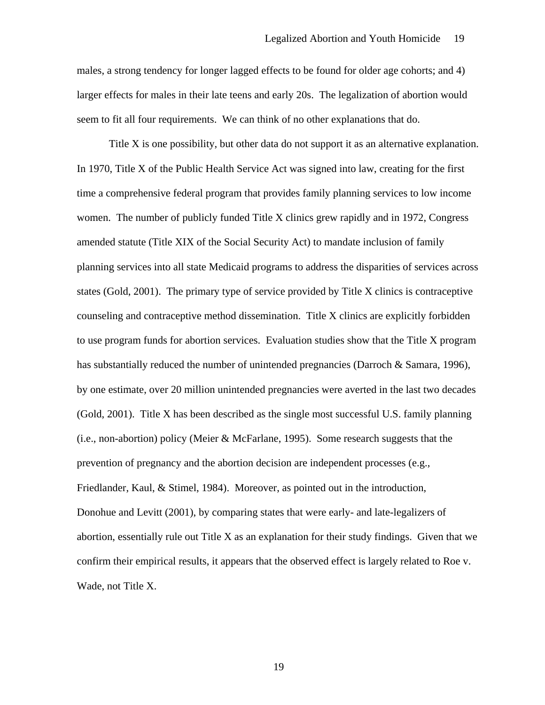males, a strong tendency for longer lagged effects to be found for older age cohorts; and 4) larger effects for males in their late teens and early 20s. The legalization of abortion would seem to fit all four requirements. We can think of no other explanations that do.

 Title X is one possibility, but other data do not support it as an alternative explanation. In 1970, Title X of the Public Health Service Act was signed into law, creating for the first time a comprehensive federal program that provides family planning services to low income women. The number of publicly funded Title X clinics grew rapidly and in 1972, Congress amended statute (Title XIX of the Social Security Act) to mandate inclusion of family planning services into all state Medicaid programs to address the disparities of services across states (Gold, 2001). The primary type of service provided by Title X clinics is contraceptive counseling and contraceptive method dissemination. Title X clinics are explicitly forbidden to use program funds for abortion services. Evaluation studies show that the Title X program has substantially reduced the number of unintended pregnancies (Darroch & Samara, 1996), by one estimate, over 20 million unintended pregnancies were averted in the last two decades (Gold, 2001). Title X has been described as the single most successful U.S. family planning (i.e., non-abortion) policy (Meier & McFarlane, 1995). Some research suggests that the prevention of pregnancy and the abortion decision are independent processes (e.g., Friedlander, Kaul, & Stimel, 1984). Moreover, as pointed out in the introduction, Donohue and Levitt (2001), by comparing states that were early- and late-legalizers of abortion, essentially rule out Title X as an explanation for their study findings. Given that we confirm their empirical results, it appears that the observed effect is largely related to Roe v. Wade, not Title X.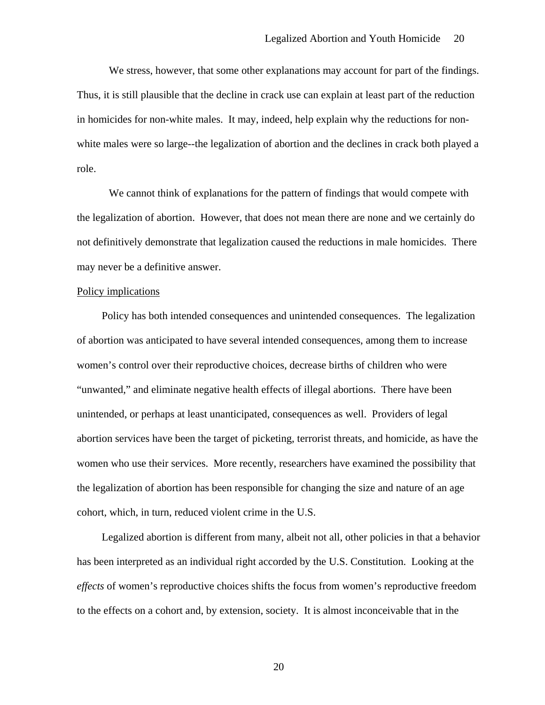We stress, however, that some other explanations may account for part of the findings. Thus, it is still plausible that the decline in crack use can explain at least part of the reduction in homicides for non-white males. It may, indeed, help explain why the reductions for nonwhite males were so large--the legalization of abortion and the declines in crack both played a role.

 We cannot think of explanations for the pattern of findings that would compete with the legalization of abortion. However, that does not mean there are none and we certainly do not definitively demonstrate that legalization caused the reductions in male homicides. There may never be a definitive answer.

#### Policy implications

 Policy has both intended consequences and unintended consequences. The legalization of abortion was anticipated to have several intended consequences, among them to increase women's control over their reproductive choices, decrease births of children who were "unwanted," and eliminate negative health effects of illegal abortions. There have been unintended, or perhaps at least unanticipated, consequences as well. Providers of legal abortion services have been the target of picketing, terrorist threats, and homicide, as have the women who use their services. More recently, researchers have examined the possibility that the legalization of abortion has been responsible for changing the size and nature of an age cohort, which, in turn, reduced violent crime in the U.S.

 Legalized abortion is different from many, albeit not all, other policies in that a behavior has been interpreted as an individual right accorded by the U.S. Constitution. Looking at the *effects* of women's reproductive choices shifts the focus from women's reproductive freedom to the effects on a cohort and, by extension, society. It is almost inconceivable that in the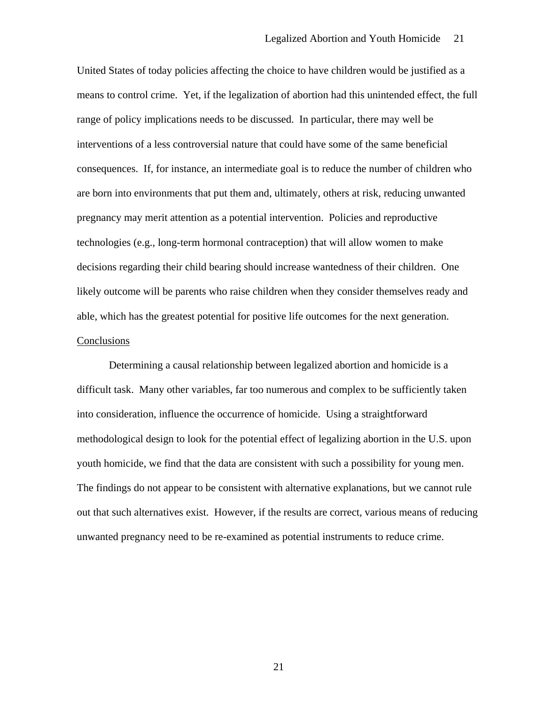United States of today policies affecting the choice to have children would be justified as a means to control crime. Yet, if the legalization of abortion had this unintended effect, the full range of policy implications needs to be discussed. In particular, there may well be interventions of a less controversial nature that could have some of the same beneficial consequences. If, for instance, an intermediate goal is to reduce the number of children who are born into environments that put them and, ultimately, others at risk, reducing unwanted pregnancy may merit attention as a potential intervention. Policies and reproductive technologies (e.g., long-term hormonal contraception) that will allow women to make decisions regarding their child bearing should increase wantedness of their children. One likely outcome will be parents who raise children when they consider themselves ready and able, which has the greatest potential for positive life outcomes for the next generation. Conclusions

 Determining a causal relationship between legalized abortion and homicide is a difficult task. Many other variables, far too numerous and complex to be sufficiently taken into consideration, influence the occurrence of homicide. Using a straightforward methodological design to look for the potential effect of legalizing abortion in the U.S. upon youth homicide, we find that the data are consistent with such a possibility for young men. The findings do not appear to be consistent with alternative explanations, but we cannot rule out that such alternatives exist. However, if the results are correct, various means of reducing unwanted pregnancy need to be re-examined as potential instruments to reduce crime.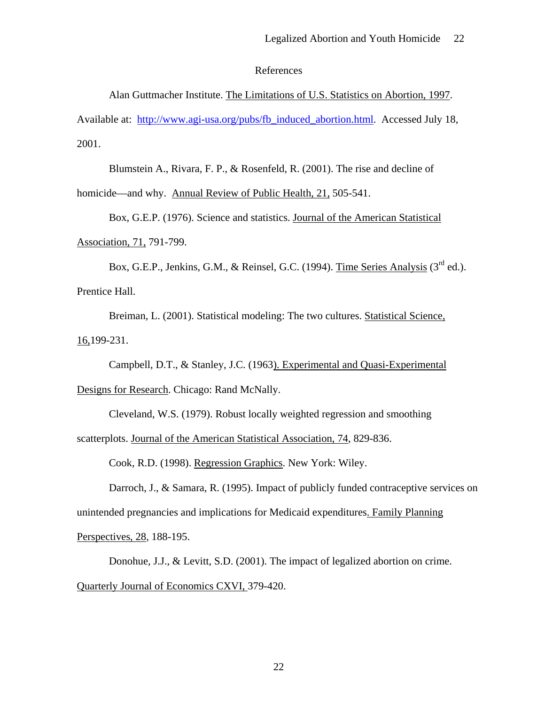References

Alan Guttmacher Institute. The Limitations of U.S. Statistics on Abortion, 1997. Available at: [http://www.agi-usa.org/pubs/fb\\_induced\\_abortion.html.](http://www.agi-usa.org/pubs/fb_induced_abortion.html) Accessed July 18,

2001.

Blumstein A., Rivara, F. P., & Rosenfeld, R. (2001). The rise and decline of

homicide—and why. Annual Review of Public Health, 21, 505-541.

Box, G.E.P. (1976). Science and statistics. Journal of the American Statistical Association, 71, 791-799.

Box, G.E.P., Jenkins, G.M., & Reinsel, G.C. (1994). Time Series Analysis ( $3<sup>rd</sup>$  ed.). Prentice Hall.

Breiman, L. (2001). Statistical modeling: The two cultures. Statistical Science, 16,199-231.

Campbell, D.T., & Stanley, J.C. (1963). Experimental and Quasi-Experimental Designs for Research. Chicago: Rand McNally.

Cleveland, W.S. (1979). Robust locally weighted regression and smoothing scatterplots. Journal of the American Statistical Association, 74, 829-836.

Cook, R.D. (1998). Regression Graphics. New York: Wiley.

Darroch, J., & Samara, R. (1995). Impact of publicly funded contraceptive services on unintended pregnancies and implications for Medicaid expenditures. Family Planning Perspectives, 28*,* 188-195.

Donohue, J.J., & Levitt, S.D. (2001). The impact of legalized abortion on crime. Quarterly Journal of Economics CXVI, 379-420.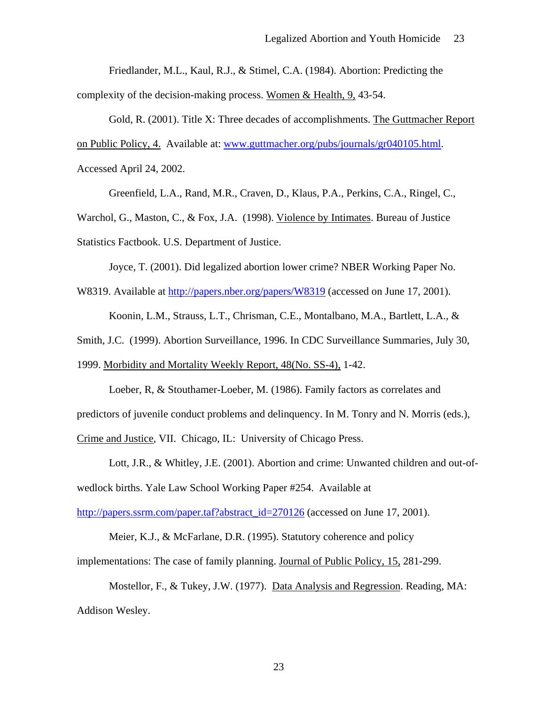Friedlander, M.L., Kaul, R.J., & Stimel, C.A. (1984). Abortion: Predicting the

complexity of the decision-making process. Women & Health, 9, 43-54.

Gold, R. (2001). Title X: Three decades of accomplishments. The Guttmacher Report

on Public Policy, 4. Available at: [www.guttmacher.org/pubs/journals/gr040105.html.](http://www.guttmacher.org/pubs/journals/gr040105.html)

Accessed April 24, 2002.

Greenfield, L.A., Rand, M.R., Craven, D., Klaus, P.A., Perkins, C.A., Ringel, C.,

Warchol, G., Maston, C., & Fox, J.A. (1998). Violence by Intimates. Bureau of Justice Statistics Factbook. U.S. Department of Justice.

Joyce, T. (2001). Did legalized abortion lower crime? NBER Working Paper No.

W8319. Available at<http://papers.nber.org/papers/W8319>(accessed on June 17, 2001).

Koonin, L.M., Strauss, L.T., Chrisman, C.E., Montalbano, M.A., Bartlett, L.A., &

Smith, J.C. (1999). Abortion Surveillance, 1996. In CDC Surveillance Summaries, July 30,

1999. Morbidity and Mortality Weekly Report, 48(No. SS-4), 1-42.

 Loeber, R, & Stouthamer-Loeber, M. (1986). Family factors as correlates and predictors of juvenile conduct problems and delinquency. In M. Tonry and N. Morris (eds.), Crime and Justice, VII. Chicago, IL: University of Chicago Press.

Lott, J.R., & Whitley, J.E. (2001). Abortion and crime: Unwanted children and out-ofwedlock births. Yale Law School Working Paper #254. Available at

[http://papers.ssrm.com/paper.taf?abstract\\_id=270126](http://papers.ssrm.com/paper.taf?abstract_id=270126) (accessed on June 17, 2001).

Meier, K.J., & McFarlane, D.R. (1995). Statutory coherence and policy

implementations: The case of family planning. Journal of Public Policy, 15, 281-299.

Mostellor, F., & Tukey, J.W. (1977). Data Analysis and Regression. Reading, MA: Addison Wesley.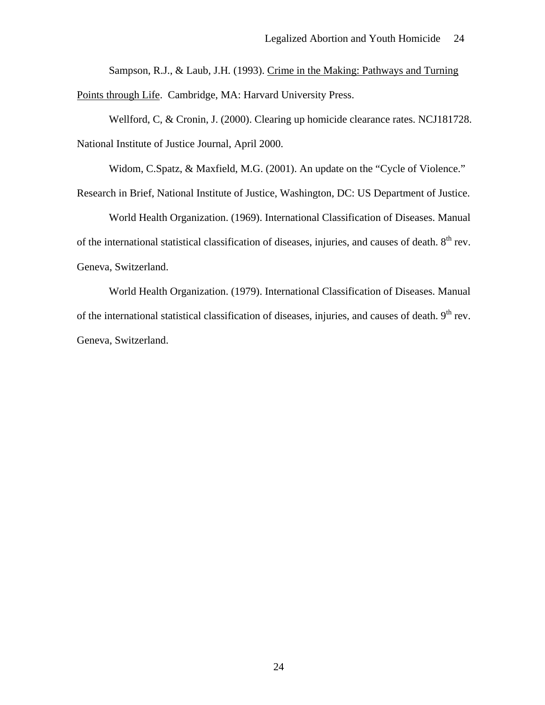Sampson, R.J., & Laub, J.H*.* (1993). Crime in the Making: Pathways and Turning

Points through Life. Cambridge, MA: Harvard University Press.

Wellford, C, & Cronin, J. (2000). Clearing up homicide clearance rates. NCJ181728. National Institute of Justice Journal, April 2000.

Widom, C.Spatz, & Maxfield, M.G. (2001). An update on the "Cycle of Violence."

Research in Brief, National Institute of Justice, Washington, DC: US Department of Justice.

World Health Organization. (1969). International Classification of Diseases. Manual of the international statistical classification of diseases, injuries, and causes of death. 8<sup>th</sup> rev. Geneva, Switzerland.

 World Health Organization. (1979). International Classification of Diseases. Manual of the international statistical classification of diseases, injuries, and causes of death. 9<sup>th</sup> rev. Geneva, Switzerland.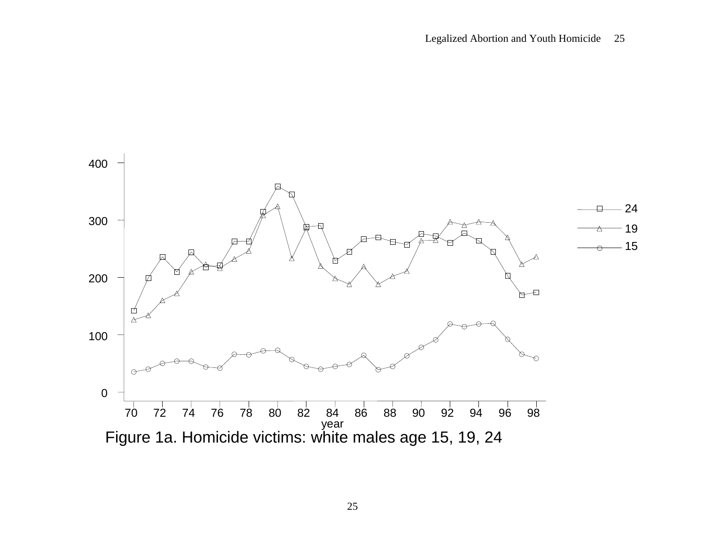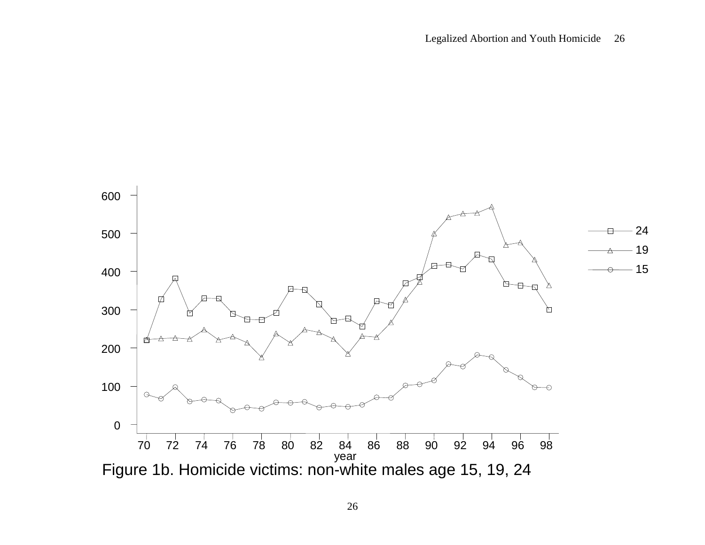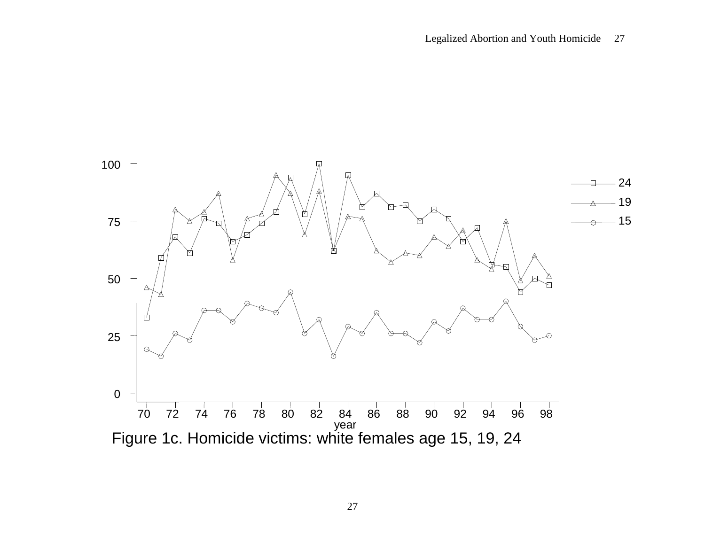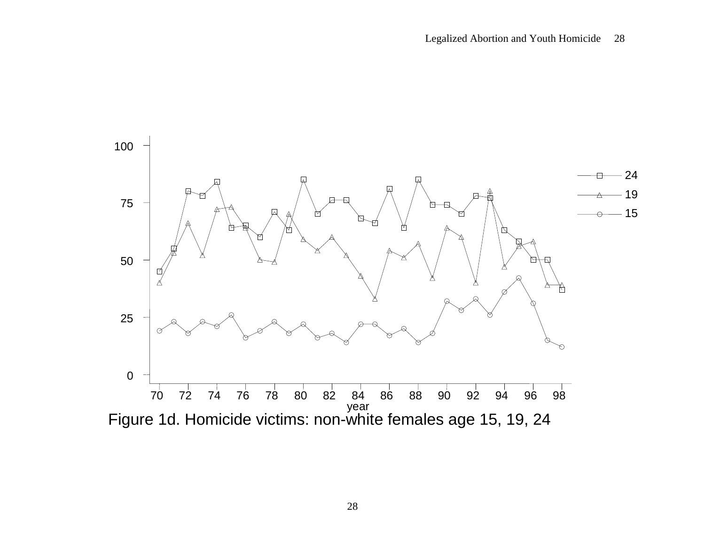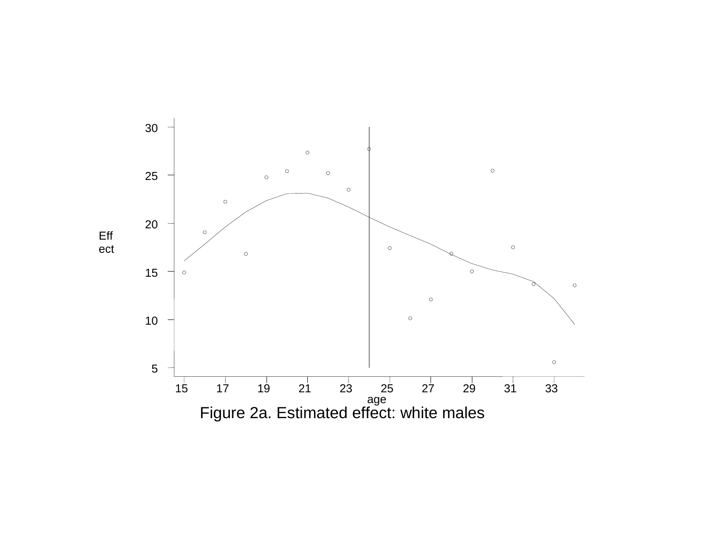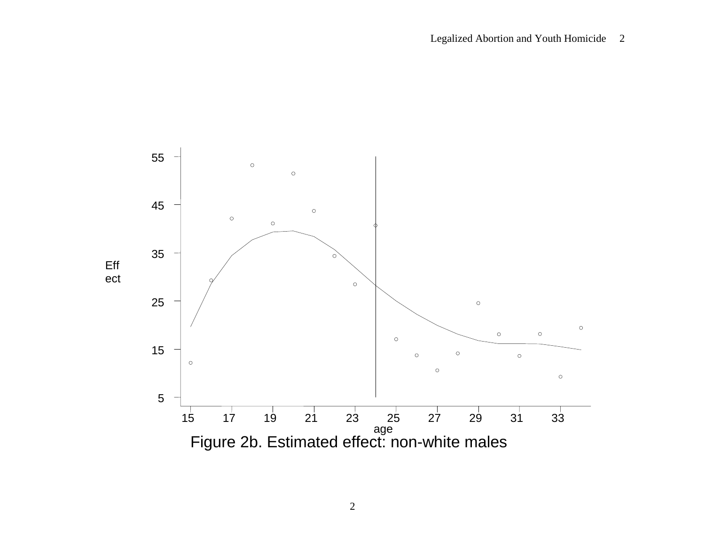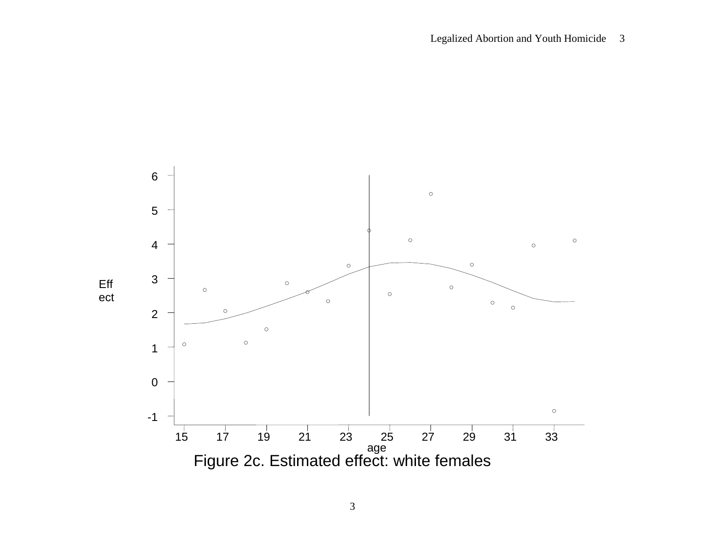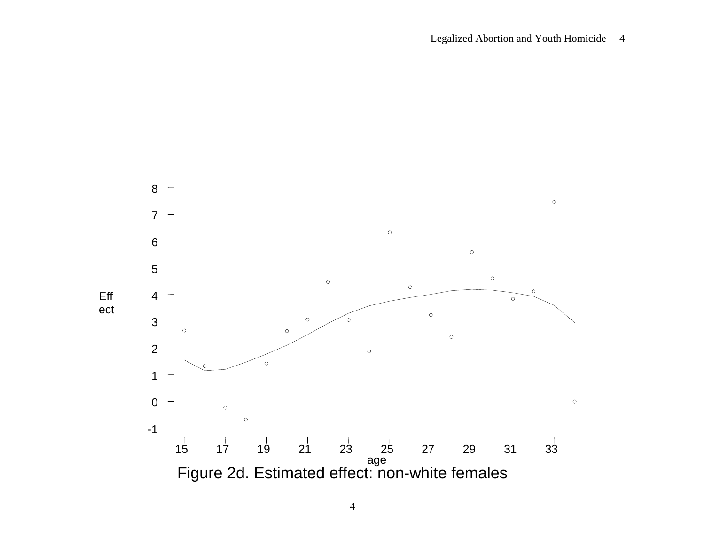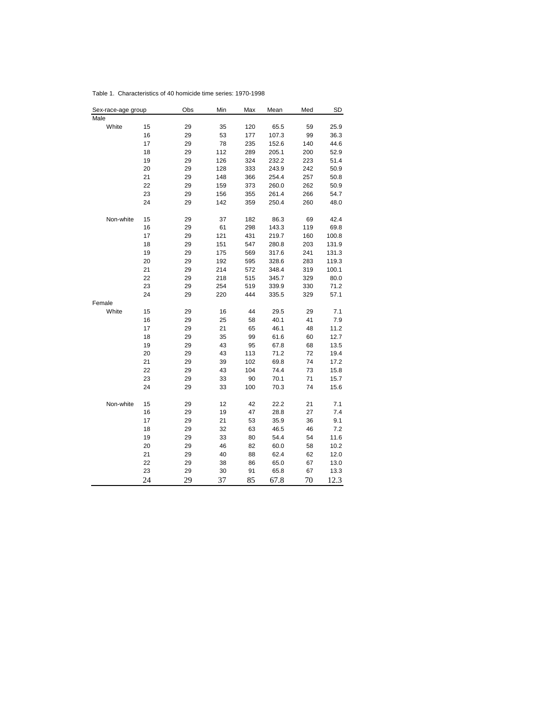| Sex-race-age group |    | Obs | Min | Max | Mean  | Med | <b>SD</b> |
|--------------------|----|-----|-----|-----|-------|-----|-----------|
| Male               |    |     |     |     |       |     |           |
| White              | 15 | 29  | 35  | 120 | 65.5  | 59  | 25.9      |
|                    | 16 | 29  | 53  | 177 | 107.3 | 99  | 36.3      |
|                    | 17 | 29  | 78  | 235 | 152.6 | 140 | 44.6      |
|                    | 18 | 29  | 112 | 289 | 205.1 | 200 | 52.9      |
|                    | 19 | 29  | 126 | 324 | 232.2 | 223 | 51.4      |
|                    | 20 | 29  | 128 | 333 | 243.9 | 242 | 50.9      |
|                    | 21 | 29  | 148 | 366 | 254.4 | 257 | 50.8      |
|                    | 22 | 29  | 159 | 373 | 260.0 | 262 | 50.9      |
|                    | 23 | 29  | 156 | 355 | 261.4 | 266 | 54.7      |
|                    | 24 | 29  | 142 | 359 | 250.4 | 260 | 48.0      |
| Non-white          | 15 | 29  | 37  | 182 | 86.3  | 69  | 42.4      |
|                    | 16 | 29  | 61  | 298 | 143.3 | 119 | 69.8      |
|                    | 17 | 29  | 121 | 431 | 219.7 | 160 | 100.8     |
|                    | 18 | 29  | 151 | 547 | 280.8 | 203 | 131.9     |
|                    | 19 | 29  | 175 | 569 | 317.6 | 241 | 131.3     |
|                    | 20 | 29  | 192 | 595 | 328.6 | 283 | 119.3     |
|                    | 21 | 29  | 214 | 572 | 348.4 | 319 | 100.1     |
|                    | 22 | 29  | 218 | 515 | 345.7 | 329 | 80.0      |
|                    | 23 | 29  | 254 | 519 | 339.9 | 330 | 71.2      |
|                    | 24 | 29  | 220 | 444 | 335.5 | 329 | 57.1      |
| Female             |    |     |     |     |       |     |           |
| White              | 15 | 29  | 16  | 44  | 29.5  | 29  | 7.1       |
|                    | 16 | 29  | 25  | 58  | 40.1  | 41  | 7.9       |
|                    | 17 | 29  | 21  | 65  | 46.1  | 48  | 11.2      |
|                    | 18 | 29  | 35  | 99  | 61.6  | 60  | 12.7      |
|                    | 19 | 29  | 43  | 95  | 67.8  | 68  | 13.5      |
|                    | 20 | 29  | 43  | 113 | 71.2  | 72  | 19.4      |
|                    | 21 | 29  | 39  | 102 | 69.8  | 74  | 17.2      |
|                    | 22 | 29  | 43  | 104 | 74.4  | 73  | 15.8      |
|                    | 23 | 29  | 33  | 90  | 70.1  | 71  | 15.7      |
|                    | 24 | 29  | 33  | 100 | 70.3  | 74  | 15.6      |
| Non-white          | 15 | 29  | 12  | 42  | 22.2  | 21  | 7.1       |
|                    | 16 | 29  | 19  | 47  | 28.8  | 27  | 7.4       |
|                    | 17 | 29  | 21  | 53  | 35.9  | 36  | 9.1       |
|                    | 18 | 29  | 32  | 63  | 46.5  | 46  | 7.2       |
|                    | 19 | 29  | 33  | 80  | 54.4  | 54  | 11.6      |
|                    | 20 | 29  | 46  | 82  | 60.0  | 58  | 10.2      |
|                    | 21 | 29  | 40  | 88  | 62.4  | 62  | 12.0      |
|                    | 22 | 29  | 38  | 86  | 65.0  | 67  | 13.0      |
|                    | 23 | 29  | 30  | 91  | 65.8  | 67  | 13.3      |
|                    | 24 | 29  | 37  | 85  | 67.8  | 70  | 12.3      |

Table 1. Characteristics of 40 homicide time series: 1970-1998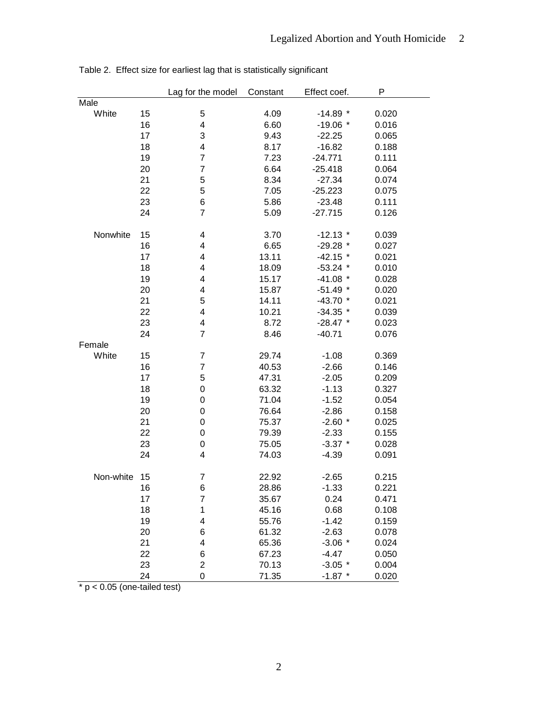|           |    | Lag for the model        | Constant | Effect coef. | P     |
|-----------|----|--------------------------|----------|--------------|-------|
| Male      |    |                          |          |              |       |
| White     | 15 | 5                        | 4.09     | $-14.89$ *   | 0.020 |
|           | 16 | 4                        | 6.60     | $-19.06$ *   | 0.016 |
|           | 17 | 3                        | 9.43     | $-22.25$     | 0.065 |
|           | 18 | 4                        | 8.17     | $-16.82$     | 0.188 |
|           | 19 | $\overline{7}$           | 7.23     | $-24.771$    | 0.111 |
|           | 20 | $\overline{7}$           | 6.64     | $-25.418$    | 0.064 |
|           | 21 | $\mathbf 5$              | 8.34     | $-27.34$     | 0.074 |
|           | 22 | 5                        | 7.05     | $-25.223$    | 0.075 |
|           | 23 | 6                        | 5.86     | $-23.48$     | 0.111 |
|           | 24 | $\overline{7}$           | 5.09     | $-27.715$    | 0.126 |
|           |    |                          |          |              |       |
| Nonwhite  | 15 | 4                        | 3.70     | $-12.13$ *   | 0.039 |
|           | 16 | 4                        | 6.65     | $-29.28$ *   | 0.027 |
|           | 17 | 4                        | 13.11    | $-42.15$ *   | 0.021 |
|           | 18 | 4                        | 18.09    | $-53.24$ *   | 0.010 |
|           | 19 | 4                        | 15.17    | $-41.08$ *   | 0.028 |
|           | 20 | 4                        | 15.87    | $-51.49$ *   | 0.020 |
|           | 21 | 5                        | 14.11    | $-43.70*$    | 0.021 |
|           | 22 | 4                        | 10.21    | $-34.35$ *   | 0.039 |
|           | 23 | 4                        | 8.72     | $-28.47$ *   | 0.023 |
|           | 24 | $\overline{7}$           | 8.46     | $-40.71$     | 0.076 |
| Female    |    |                          |          |              |       |
| White     | 15 | $\overline{7}$           | 29.74    | $-1.08$      | 0.369 |
|           | 16 | $\overline{7}$           | 40.53    | $-2.66$      | 0.146 |
|           | 17 | 5                        | 47.31    | $-2.05$      | 0.209 |
|           | 18 | $\boldsymbol{0}$         | 63.32    | $-1.13$      | 0.327 |
|           | 19 | $\mathbf 0$              | 71.04    | $-1.52$      | 0.054 |
|           | 20 | $\boldsymbol{0}$         | 76.64    | $-2.86$      | 0.158 |
|           | 21 | $\mathbf 0$              | 75.37    | $-2.60*$     | 0.025 |
|           | 22 | $\mathbf 0$              | 79.39    | $-2.33$      | 0.155 |
|           | 23 | $\boldsymbol{0}$         | 75.05    | $-3.37$ *    | 0.028 |
|           | 24 | $\overline{4}$           | 74.03    | $-4.39$      | 0.091 |
|           |    |                          |          |              |       |
| Non-white | 15 | $\overline{7}$           | 22.92    | $-2.65$      | 0.215 |
|           | 16 | 6                        | 28.86    | $-1.33$      | 0.221 |
|           | 17 | $\overline{7}$           | 35.67    | 0.24         | 0.471 |
|           | 18 | 1                        | 45.16    | 0.68         | 0.108 |
|           | 19 | $\overline{\mathcal{A}}$ | 55.76    | $-1.42$      | 0.159 |
|           | 20 | 6                        | 61.32    | $-2.63$      | 0.078 |
|           | 21 | $\overline{\mathbf{4}}$  | 65.36    | $-3.06*$     | 0.024 |
|           | 22 | $\,6$                    | 67.23    | $-4.47$      | 0.050 |
|           | 23 | $\overline{c}$           | 70.13    | $-3.05$ *    | 0.004 |
|           | 24 | $\overline{0}$           | 71.35    | $-1.87$ *    | 0.020 |

Table 2. Effect size for earliest lag that is statistically significant

 $\overline{\text{A}}$  p < 0.05 (one-tailed test)